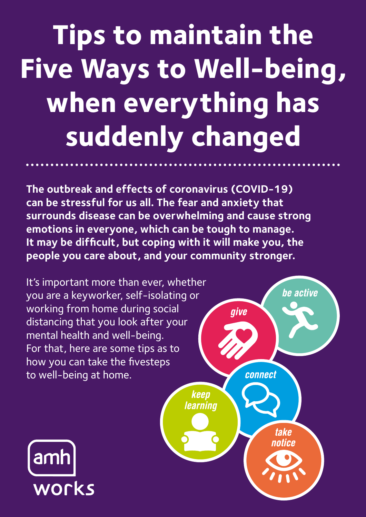## **Tips to maintain the Five Ways to Well-being, when everything has suddenly changed**

**The outbreak and effects of coronavirus (COVID-19) can be stressful for us all. The fear and anxiety that surrounds disease can be overwhelming and cause strong emotions in everyone, which can be tough to manage. It may be difficult, but coping with it will make you, the people you care about, and your community stronger.** 

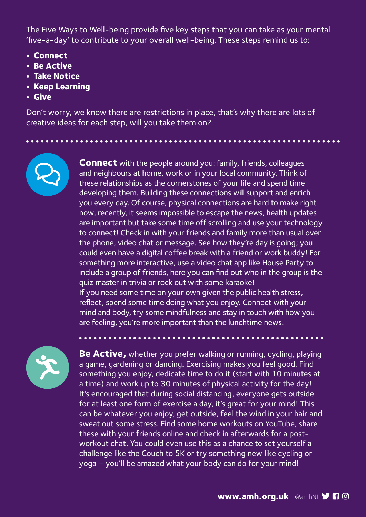The Five Ways to Well-being provide five key steps that you can take as your mental 'five-a-day' to contribute to your overall well-being. These steps remind us to:

- **Connect**
- **Be Active**
- **Take Notice**
- **Keep Learning**
- **Give**

Don't worry, we know there are restrictions in place, that's why there are lots of creative ideas for each step, will you take them on?



**Connect** with the people around you: family, friends, colleagues and neighbours at home, work or in your local community. Think of these relationships as the cornerstones of your life and spend time developing them. Building these connections will support and enrich you every day. Of course, physical connections are hard to make right now, recently, it seems impossible to escape the news, health updates are important but take some time off scrolling and use your technology to connect! Check in with your friends and family more than usual over the phone, video chat or message. See how they're day is going; you could even have a digital coffee break with a friend or work buddy! For something more interactive, use a video chat app like House Party to include a group of friends, here you can find out who in the group is the quiz master in trivia or rock out with some karaoke! If you need some time on your own given the public health stress, reflect, spend some time doing what you enjoy. Connect with your mind and body, try some mindfulness and stay in touch with how you are feeling, you're more important than the lunchtime news.



**Be Active,** whether you prefer walking or running, cycling, playing a game, gardening or dancing. Exercising makes you feel good. Find something you enjoy, dedicate time to do it (start with 10 minutes at a time) and work up to 30 minutes of physical activity for the day! It's encouraged that during social distancing, everyone gets outside for at least one form of exercise a day, it's great for your mind! This can be whatever you enjoy, get outside, feel the wind in your hair and sweat out some stress. Find some home workouts on YouTube, share these with your friends online and check in afterwards for a postworkout chat. You could even use this as a chance to set yourself a challenge like the Couch to 5K or try something new like cycling or yoga – you'll be amazed what your body can do for your mind!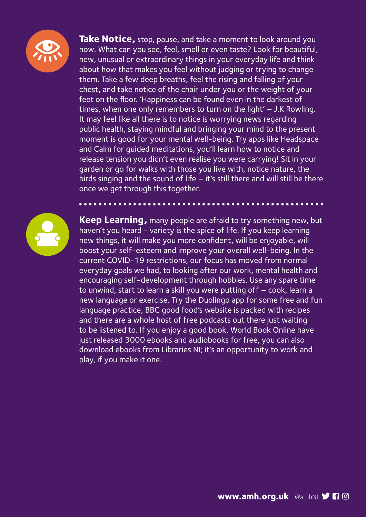

**Take Notice,** stop, pause, and take a moment to look around you now. What can you see, feel, smell or even taste? Look for beautiful, new, unusual or extraordinary things in your everyday life and think about how that makes you feel without judging or trying to change them. Take a few deep breaths, feel the rising and falling of your chest, and take notice of the chair under you or the weight of your feet on the floor. 'Happiness can be found even in the darkest of times, when one only remembers to turn on the light' – J.K Rowling. It may feel like all there is to notice is worrying news regarding public health, staying mindful and bringing your mind to the present moment is good for your mental well-being. Try apps like Headspace and Calm for guided meditations, you'll learn how to notice and release tension you didn't even realise you were carrying! Sit in your garden or go for walks with those you live with, notice nature, the birds singing and the sound of life – it's still there and will still be there once we get through this together.



**Keep Learning,** many people are afraid to try something new, but haven't you heard - variety is the spice of life. If you keep learning new things, it will make you more confident, will be enjoyable, will boost your self-esteem and improve your overall well-being. In the current COVID-19 restrictions, our focus has moved from normal everyday goals we had, to looking after our work, mental health and encouraging self-development through hobbies. Use any spare time to unwind, start to learn a skill you were putting off – cook, learn a new language or exercise. Try the Duolingo app for some free and fun language practice, BBC good food's website is packed with recipes and there are a whole host of free podcasts out there just waiting to be listened to. If you enjoy a good book, World Book Online have just released 3000 ebooks and audiobooks for free, you can also download ebooks from Libraries NI; it's an opportunity to work and play, if you make it one.